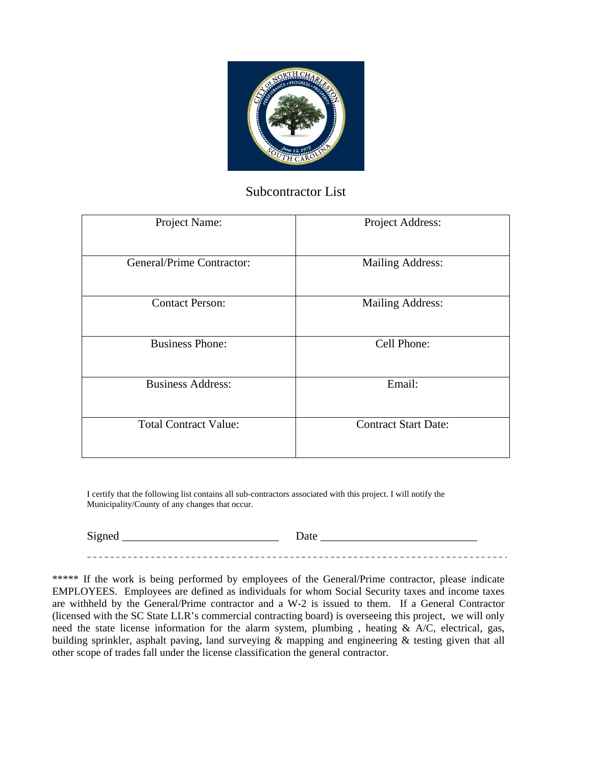

## Subcontractor List

| Project Name:                | Project Address:            |
|------------------------------|-----------------------------|
| General/Prime Contractor:    | <b>Mailing Address:</b>     |
| <b>Contact Person:</b>       | <b>Mailing Address:</b>     |
| <b>Business Phone:</b>       | Cell Phone:                 |
| <b>Business Address:</b>     | Email:                      |
| <b>Total Contract Value:</b> | <b>Contract Start Date:</b> |

I certify that the following list contains all sub-contractors associated with this project. I will notify the Municipality/County of any changes that occur.

Signed \_\_\_\_\_\_\_\_\_\_\_\_\_\_\_\_\_\_\_\_\_\_\_\_\_\_\_ Date \_\_\_\_\_\_\_\_\_\_\_\_\_\_\_\_\_\_\_\_\_\_\_\_\_\_\_ 

\*\*\*\*\* If the work is being performed by employees of the General/Prime contractor, please indicate EMPLOYEES. Employees are defined as individuals for whom Social Security taxes and income taxes are withheld by the General/Prime contractor and a W-2 is issued to them. If a General Contractor (licensed with the SC State LLR's commercial contracting board) is overseeing this project, we will only need the state license information for the alarm system, plumbing , heating & A/C, electrical, gas, building sprinkler, asphalt paving, land surveying & mapping and engineering & testing given that all other scope of trades fall under the license classification the general contractor.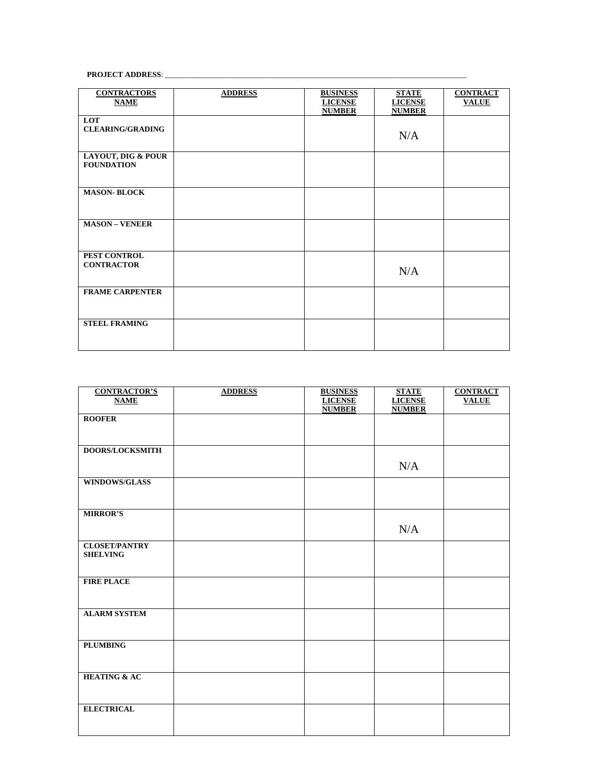## **PROJECT ADDRESS**: \_\_\_\_\_\_\_\_\_\_\_\_\_\_\_\_\_\_\_\_\_\_\_\_\_\_\_\_\_\_\_\_\_\_\_\_\_\_\_\_\_\_\_\_\_\_\_\_\_\_\_\_\_\_\_\_\_\_\_\_\_\_\_\_\_\_\_\_\_\_\_\_\_\_\_\_\_\_

| <b>CONTRACTORS</b><br><b>NAME</b>                  | <b>ADDRESS</b> | <b>BUSINESS</b><br><b>LICENSE</b><br><b>NUMBER</b> | <b>STATE</b><br><b>LICENSE</b><br><b>NUMBER</b> | <b>CONTRACT</b><br><b>VALUE</b> |
|----------------------------------------------------|----------------|----------------------------------------------------|-------------------------------------------------|---------------------------------|
| LOT<br><b>CLEARING/GRADING</b>                     |                |                                                    | N/A                                             |                                 |
| <b>LAYOUT, DIG &amp; POUR</b><br><b>FOUNDATION</b> |                |                                                    |                                                 |                                 |
| <b>MASON-BLOCK</b>                                 |                |                                                    |                                                 |                                 |
| <b>MASON - VENEER</b>                              |                |                                                    |                                                 |                                 |
| PEST CONTROL<br><b>CONTRACTOR</b>                  |                |                                                    | N/A                                             |                                 |
| <b>FRAME CARPENTER</b>                             |                |                                                    |                                                 |                                 |
| <b>STEEL FRAMING</b>                               |                |                                                    |                                                 |                                 |

| <b>CONTRACTOR'S</b>     | <b>ADDRESS</b> | <b>BUSINESS</b> | <b>STATE</b>   | <b>CONTRACT</b> |
|-------------------------|----------------|-----------------|----------------|-----------------|
| <b>NAME</b>             |                | <b>LICENSE</b>  | <b>LICENSE</b> | <b>VALUE</b>    |
|                         |                | <b>NUMBER</b>   | <b>NUMBER</b>  |                 |
| <b>ROOFER</b>           |                |                 |                |                 |
|                         |                |                 |                |                 |
|                         |                |                 |                |                 |
| <b>DOORS/LOCKSMITH</b>  |                |                 |                |                 |
|                         |                |                 |                |                 |
|                         |                |                 | N/A            |                 |
| <b>WINDOWS/GLASS</b>    |                |                 |                |                 |
|                         |                |                 |                |                 |
|                         |                |                 |                |                 |
| <b>MIRROR'S</b>         |                |                 |                |                 |
|                         |                |                 |                |                 |
|                         |                |                 | N/A            |                 |
| <b>CLOSET/PANTRY</b>    |                |                 |                |                 |
| <b>SHELVING</b>         |                |                 |                |                 |
|                         |                |                 |                |                 |
|                         |                |                 |                |                 |
| <b>FIRE PLACE</b>       |                |                 |                |                 |
|                         |                |                 |                |                 |
|                         |                |                 |                |                 |
| <b>ALARM SYSTEM</b>     |                |                 |                |                 |
|                         |                |                 |                |                 |
|                         |                |                 |                |                 |
| <b>PLUMBING</b>         |                |                 |                |                 |
|                         |                |                 |                |                 |
|                         |                |                 |                |                 |
| <b>HEATING &amp; AC</b> |                |                 |                |                 |
|                         |                |                 |                |                 |
|                         |                |                 |                |                 |
|                         |                |                 |                |                 |
| <b>ELECTRICAL</b>       |                |                 |                |                 |
|                         |                |                 |                |                 |
|                         |                |                 |                |                 |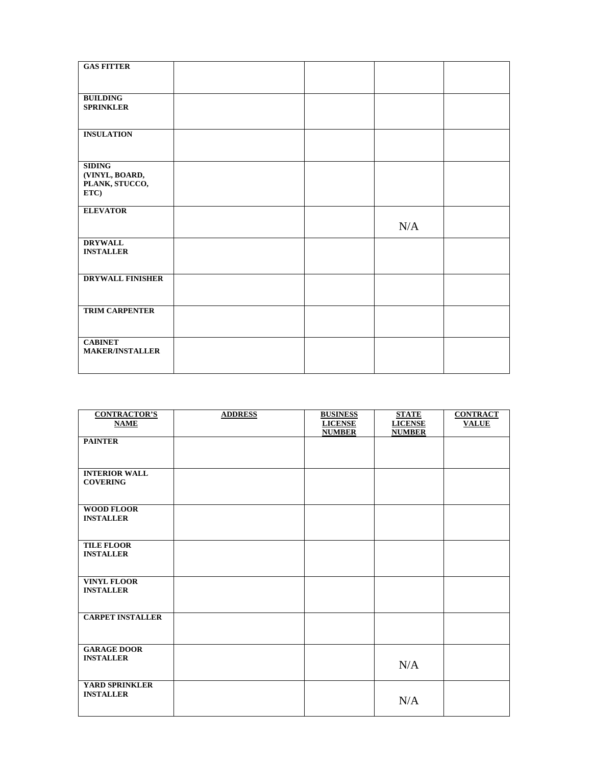| <b>GAS FITTER</b>                   |  |     |  |
|-------------------------------------|--|-----|--|
|                                     |  |     |  |
| <b>BUILDING</b><br><b>SPRINKLER</b> |  |     |  |
|                                     |  |     |  |
| <b>INSULATION</b>                   |  |     |  |
|                                     |  |     |  |
| <b>SIDING</b>                       |  |     |  |
| (VINYL, BOARD,<br>PLANK, STUCCO,    |  |     |  |
| ETC)                                |  |     |  |
| <b>ELEVATOR</b>                     |  |     |  |
|                                     |  | N/A |  |
| <b>DRYWALL</b>                      |  |     |  |
| <b>INSTALLER</b>                    |  |     |  |
| <b>DRYWALL FINISHER</b>             |  |     |  |
|                                     |  |     |  |
| <b>TRIM CARPENTER</b>               |  |     |  |
|                                     |  |     |  |
| <b>CABINET</b>                      |  |     |  |
| <b>MAKER/INSTALLER</b>              |  |     |  |
|                                     |  |     |  |

| <b>CONTRACTOR'S</b><br><b>NAME</b>      | <b>ADDRESS</b> | <b>BUSINESS</b><br><b>LICENSE</b><br><b>NUMBER</b> | <b>STATE</b><br><b>LICENSE</b><br><b>NUMBER</b> | <b>CONTRACT</b><br><b>VALUE</b> |
|-----------------------------------------|----------------|----------------------------------------------------|-------------------------------------------------|---------------------------------|
| <b>PAINTER</b>                          |                |                                                    |                                                 |                                 |
| <b>INTERIOR WALL</b><br><b>COVERING</b> |                |                                                    |                                                 |                                 |
| <b>WOOD FLOOR</b><br><b>INSTALLER</b>   |                |                                                    |                                                 |                                 |
| <b>TILE FLOOR</b><br><b>INSTALLER</b>   |                |                                                    |                                                 |                                 |
| <b>VINYL FLOOR</b><br><b>INSTALLER</b>  |                |                                                    |                                                 |                                 |
| <b>CARPET INSTALLER</b>                 |                |                                                    |                                                 |                                 |
| <b>GARAGE DOOR</b><br><b>INSTALLER</b>  |                |                                                    | N/A                                             |                                 |
| YARD SPRINKLER<br><b>INSTALLER</b>      |                |                                                    | N/A                                             |                                 |